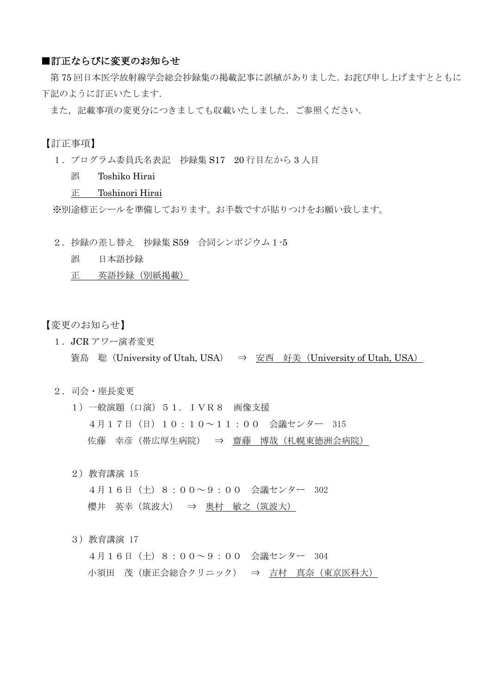## ■訂正ならびに変更のお知らせ

第75回日本医学放射線学会総会抄録集の掲載記事に誤植がありました。お詫び申し上げますとともに 下記のように訂正いたします.

また、記載事項の変更分につきましても収載いたしました. ご参照ください.

# 【訂正事項】

1.プログラム委員氏名表記 抄録集 S17 20 行目左から 3 人目

誤 Toshiko Hirai

#### 正 Toshinori Hirai

※別途修正シールを準備しております。お手数ですが貼りつけをお願い致します。

- 2.抄録の差し替え 抄録集 S59 合同シンポジウム1-5
	- 誤 日本語抄録

正 英語抄録(別紙掲載)

## 【変更のお知らせ】

1.JCR アワー演者変更

簑島 聡(University of Utah, USA) ⇒ 安西 好美(University of Utah, USA)

### 2.司会・座長変更

- 1)一般演題(口演)51. IVR8 画像支援 4月17日(日)10:10~11:00 会議センター 315 佐藤 幸彦(帯広厚生病院) ⇒ 齋藤 博哉(札幌東徳洲会病院)
- 2)教育講演 15
	- 4月16日(土)8:00~9:00 会議センター 302 櫻井 英幸(筑波大) ⇒ 奥村 敏之(筑波大)

#### 3)教育講演 17

4月16日(土)8:00~9:00 会議センター 304 小須田 茂(康正会総合クリニック) ⇒ 吉村 真奈(東京医科大)